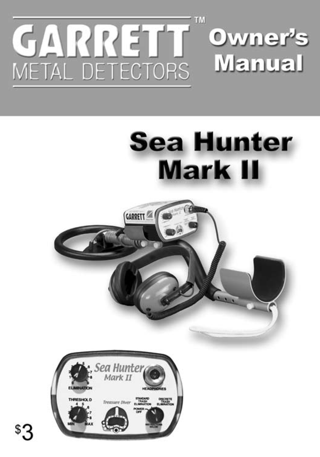

# **Sea Hunter Mark II**



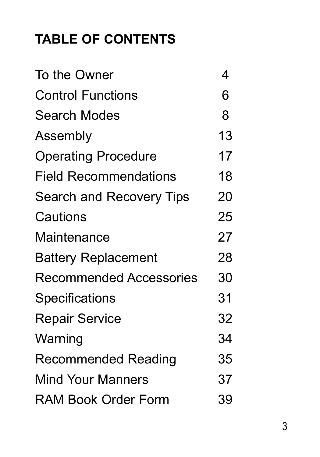# **TABLE OF CONTENTS**

| To the Owner                   | 4  |
|--------------------------------|----|
| <b>Control Functions</b>       | 6  |
| Search Modes                   | 8  |
| Assembly                       | 13 |
| <b>Operating Procedure</b>     | 17 |
| <b>Field Recommendations</b>   | 18 |
| Search and Recovery Tips       | 20 |
| Cautions                       | 25 |
| Maintenance                    | 27 |
| <b>Battery Replacement</b>     | 28 |
| <b>Recommended Accessories</b> | 30 |
| Specifications                 | 31 |
| <b>Repair Service</b>          | 32 |
| Warning                        | 34 |
| Recommended Reading            | 35 |
| <b>Mind Your Manners</b>       | 37 |
| RAM Book Order Form            | 39 |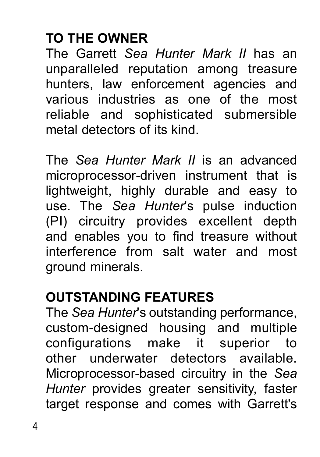# **to the owner**

The Garrett *Sea Hunter Mark II* has an unparalleled reputation among treasure hunters, law enforcement agencies and various industries as one of the most reliable and sophisticated submersible metal detectors of its kind.

The *Sea Hunter Mark II* is an advanced microprocessor-driven instrument that is lightweight, highly durable and easy to use. The *Sea Hunter*'s pulse induction (PI) circuitry provides excellent depth and enables you to find treasure without interference from salt water and most ground minerals.

#### **Outstanding Features**

The *Sea Hunter*'s outstanding performance, custom-designed housing and multiple configurations make it superior to other underwater detectors available. Microprocessor-based circuitry in the *Sea Hunter* provides greater sensitivity, faster target response and comes with Garrett's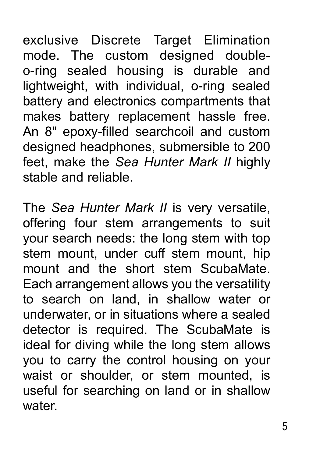exclusive Discrete Target Elimination mode. The custom designed doubleo-ring sealed housing is durable and lightweight, with individual, o-ring sealed battery and electronics compartments that makes battery replacement hassle free. An 8" epoxy-filled searchcoil and custom designed headphones, submersible to 200 feet, make the *Sea Hunter Mark II* highly stable and reliable.

The *Sea Hunter Mark II* is very versatile, offering four stem arrangements to suit your search needs: the long stem with top stem mount, under cuff stem mount, hip mount and the short stem ScubaMate. Each arrangement allows you the versatility to search on land, in shallow water or underwater, or in situations where a sealed detector is required. The ScubaMate is ideal for diving while the long stem allows you to carry the control housing on your waist or shoulder, or stem mounted, is useful for searching on land or in shallow water.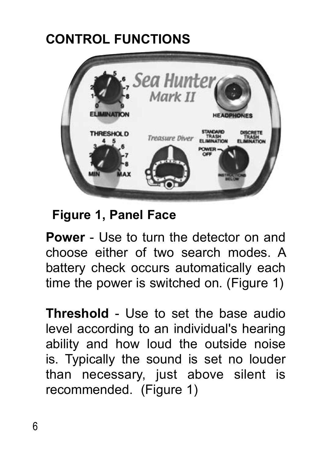# **Control Functions**



**Figure 1, Panel Face**

**Power** - Use to turn the detector on and choose either of two search modes. A battery check occurs automatically each time the power is switched on. (Figure 1)

**Threshold** - Use to set the base audio level according to an individual's hearing ability and how loud the outside noise is. Typically the sound is set no louder than necessary, just above silent is recommended. (Figure 1)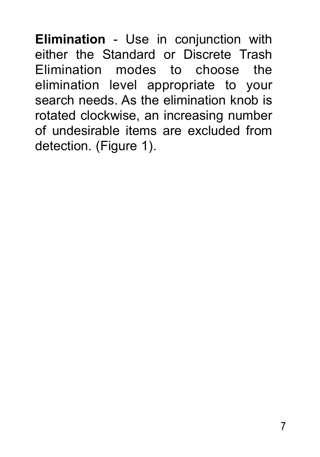**Elimination** - Use in conjunction with either the Standard or Discrete Trash Elimination modes to choose the elimination level appropriate to your search needs. As the elimination knob is rotated clockwise, an increasing number of undesirable items are excluded from detection. (Figure 1).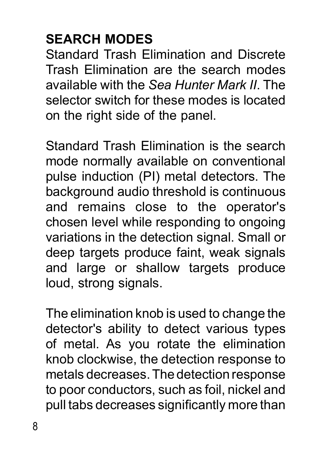# **Search Modes**

Standard Trash Elimination and Discrete Trash Elimination are the search modes available with the *Sea Hunter Mark II*. The selector switch for these modes is located on the right side of the panel.

Standard Trash Elimination is the search mode normally available on conventional pulse induction (PI) metal detectors. The background audio threshold is continuous and remains close to the operator's chosen level while responding to ongoing variations in the detection signal. Small or deep targets produce faint, weak signals and large or shallow targets produce loud, strong signals.

The elimination knob is used to change the detector's ability to detect various types of metal. As you rotate the elimination knob clockwise, the detection response to metals decreases. The detection response to poor conductors, such as foil, nickel and pull tabs decreases significantly more than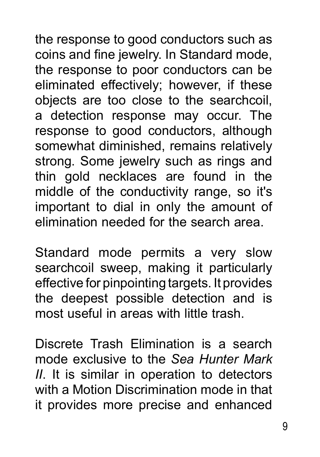the response to good conductors such as coins and fine jewelry. In Standard mode, the response to poor conductors can be eliminated effectively; however, if these objects are too close to the searchcoil, a detection response may occur. The response to good conductors, although somewhat diminished, remains relatively strong. Some jewelry such as rings and thin gold necklaces are found in the middle of the conductivity range, so it's important to dial in only the amount of elimination needed for the search area.

Standard mode permits a very slow searchcoil sweep, making it particularly effective for pinpointing targets. It provides the deepest possible detection and is most useful in areas with little trash.

Discrete Trash Elimination is a search mode exclusive to the *Sea Hunter Mark II*. It is similar in operation to detectors with a Motion Discrimination mode in that it provides more precise and enhanced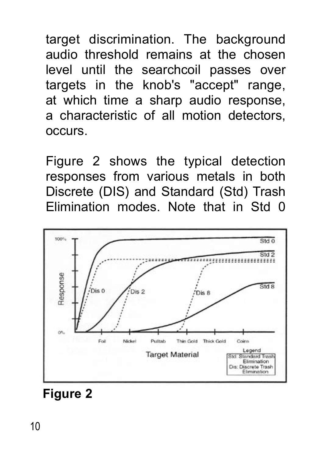target discrimination. The background audio threshold remains at the chosen level until the searchcoil passes over targets in the knob's "accept" range, at which time a sharp audio response, a characteristic of all motion detectors, occurs.

Figure 2 shows the typical detection responses from various metals in both Discrete (DIS) and Standard (Std) Trash Elimination modes. Note that in Std 0



#### **Figure 2**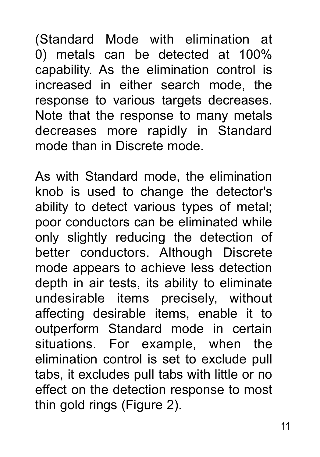(Standard Mode with elimination at 0) metals can be detected at 100% capability. As the elimination control is increased in either search mode, the response to various targets decreases. Note that the response to many metals decreases more rapidly in Standard mode than in Discrete mode.

As with Standard mode, the elimination knob is used to change the detector's ability to detect various types of metal; poor conductors can be eliminated while only slightly reducing the detection of better conductors. Although Discrete mode appears to achieve less detection depth in air tests, its ability to eliminate undesirable items precisely, without affecting desirable items, enable it to outperform Standard mode in certain situations. For example, when the elimination control is set to exclude pull tabs, it excludes pull tabs with little or no effect on the detection response to most thin gold rings (Figure 2).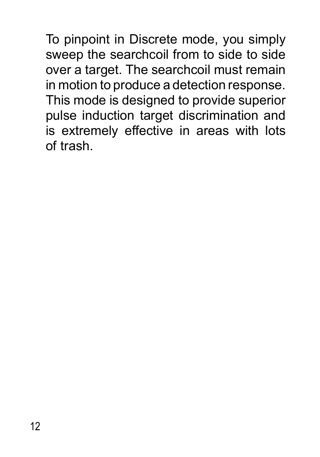To pinpoint in Discrete mode, you simply sweep the searchcoil from to side to side over a target. The searchcoil must remain in motion to produce a detection response. This mode is designed to provide superior pulse induction target discrimination and is extremely effective in areas with lots of trash.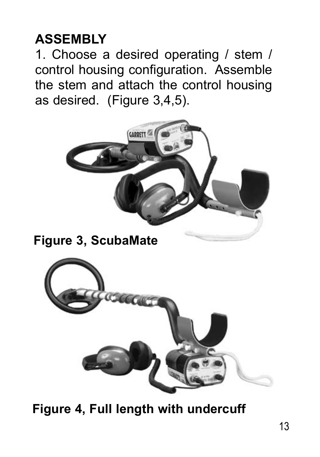#### **Assembly**

1. Choose a desired operating / stem / control housing configuration. Assemble the stem and attach the control housing as desired. (Figure 3,4,5).



**Figure 4, Full length with undercuff**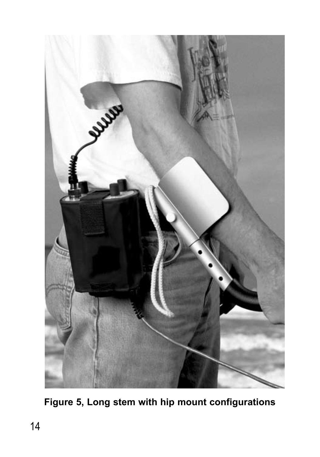

**Figure 5, Long stem with hip mount configurations**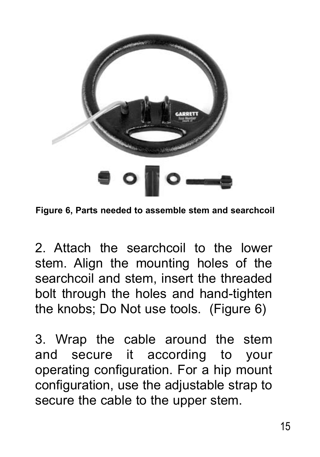

**Figure 6, Parts needed to assemble stem and searchcoil**

2. Attach the searchcoil to the lower stem. Align the mounting holes of the searchcoil and stem, insert the threaded bolt through the holes and hand-tighten the knobs; Do Not use tools. (Figure 6)

3. Wrap the cable around the stem and secure it according to your operating configuration. For a hip mount configuration, use the adjustable strap to secure the cable to the upper stem.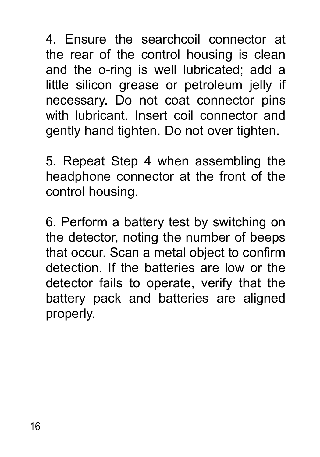4. Ensure the searchcoil connector at the rear of the control housing is clean and the o-ring is well lubricated; add a little silicon grease or petroleum jelly if necessary. Do not coat connector pins with lubricant. Insert coil connector and gently hand tighten. Do not over tighten.

5. Repeat Step 4 when assembling the headphone connector at the front of the control housing.

6. Perform a battery test by switching on the detector, noting the number of beeps that occur. Scan a metal object to confirm detection. If the batteries are low or the detector fails to operate, verify that the battery pack and batteries are aligned properly.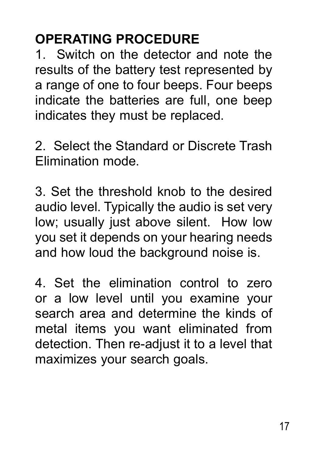#### **Operating Procedure**

1. Switch on the detector and note the results of the battery test represented by a range of one to four beeps. Four beeps indicate the batteries are full, one beep indicates they must be replaced.

2. Select the Standard or Discrete Trash Elimination mode.

3. Set the threshold knob to the desired audio level. Typically the audio is set very low; usually just above silent. How low you set it depends on your hearing needs and how loud the background noise is.

4. Set the elimination control to zero or a low level until you examine your search area and determine the kinds of metal items you want eliminated from detection. Then re-adjust it to a level that maximizes your search goals.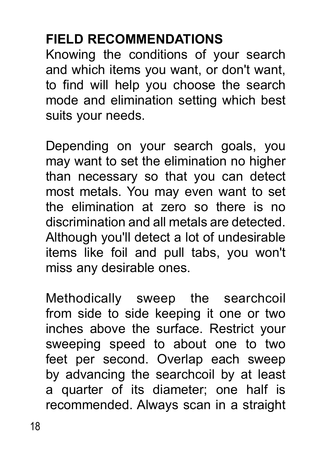### **Field Recommendations**

Knowing the conditions of your search and which items you want, or don't want, to find will help you choose the search mode and elimination setting which best suits your needs.

Depending on your search goals, you may want to set the elimination no higher than necessary so that you can detect most metals. You may even want to set the elimination at zero so there is no discrimination and all metals are detected. Although you'll detect a lot of undesirable items like foil and pull tabs, you won't miss any desirable ones.

Methodically sweep the searchcoil from side to side keeping it one or two inches above the surface. Restrict your sweeping speed to about one to two feet per second. Overlap each sweep by advancing the searchcoil by at least a quarter of its diameter; one half is recommended. Always scan in a straight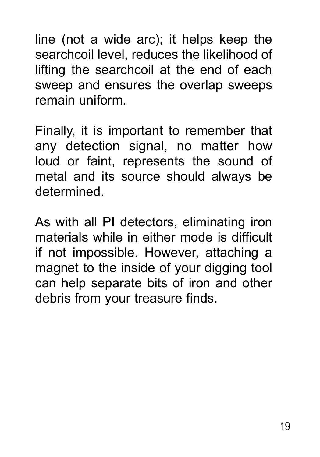line (not a wide arc); it helps keep the searchcoil level, reduces the likelihood of lifting the searchcoil at the end of each sweep and ensures the overlap sweeps remain uniform.

Finally, it is important to remember that any detection signal, no matter how loud or faint, represents the sound of metal and its source should always be determined.

As with all PI detectors, eliminating iron materials while in either mode is difficult if not impossible. However, attaching a magnet to the inside of your digging tool can help separate bits of iron and other debris from your treasure finds.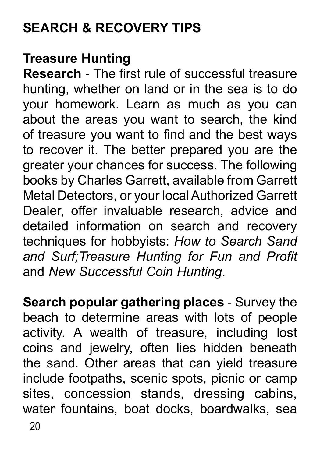# **Search & Recovery Tips**

#### **Treasure Hunting**

**Research** - The first rule of successful treasure hunting, whether on land or in the sea is to do your homework. Learn as much as you can about the areas you want to search, the kind of treasure you want to find and the best ways to recover it. The better prepared you are the greater your chances for success. The following books by Charles Garrett, available from Garrett Metal Detectors, or your local Authorized Garrett Dealer, offer invaluable research, advice and detailed information on search and recovery techniques for hobbyists: *How to Search Sand and Surf;Treasure Hunting for Fun and Profit* and *New Successful Coin Hunting*.

**Search popular gathering places** - Survey the beach to determine areas with lots of people activity. A wealth of treasure, including lost coins and jewelry, often lies hidden beneath the sand. Other areas that can yield treasure include footpaths, scenic spots, picnic or camp sites, concession stands, dressing cabins, water fountains, boat docks, boardwalks, sea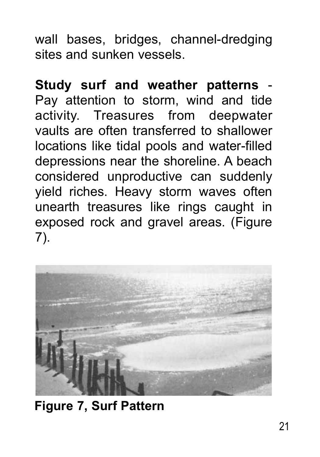wall bases, bridges, channel-dredging sites and sunken vessels.

**Study surf and weather patterns** - Pay attention to storm, wind and tide activity. Treasures from deepwater vaults are often transferred to shallower locations like tidal pools and water-filled depressions near the shoreline. A beach considered unproductive can suddenly yield riches. Heavy storm waves often unearth treasures like rings caught in exposed rock and gravel areas. (Figure 7).



**Figure 7, Surf Pattern**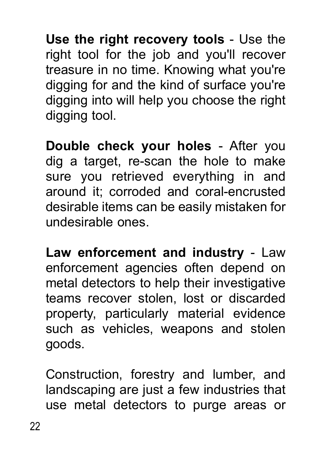**Use the right recovery tools** - Use the right tool for the job and you'll recover treasure in no time. Knowing what you're digging for and the kind of surface you're digging into will help you choose the right digging tool.

**Double check your holes** - After you dig a target, re-scan the hole to make sure you retrieved everything in and around it; corroded and coral-encrusted desirable items can be easily mistaken for undesirable ones.

**Law enforcement and industry** - Law enforcement agencies often depend on metal detectors to help their investigative teams recover stolen, lost or discarded property, particularly material evidence such as vehicles, weapons and stolen goods.

Construction, forestry and lumber, and landscaping are just a few industries that use metal detectors to purge areas or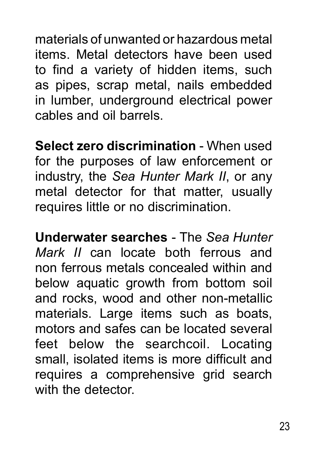materials of unwanted or hazardous metal items. Metal detectors have been used to find a variety of hidden items, such as pipes, scrap metal, nails embedded in lumber, underground electrical power cables and oil barrels.

**Select zero discrimination** - When used for the purposes of law enforcement or industry, the *Sea Hunter Mark II*, or any metal detector for that matter, usually requires little or no discrimination.

**Underwater searches** - The *Sea Hunter Mark II* can locate both ferrous and non ferrous metals concealed within and below aquatic growth from bottom soil and rocks, wood and other non-metallic materials. Large items such as boats, motors and safes can be located several feet below the searchcoil. Locating small, isolated items is more difficult and requires a comprehensive grid search with the detector.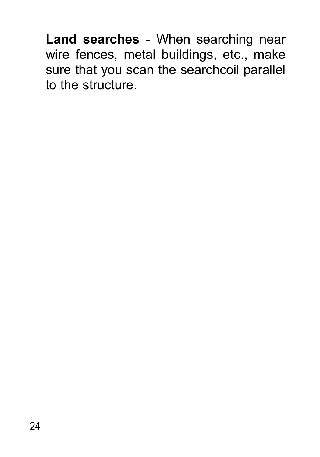**Land searches** - When searching near wire fences, metal buildings, etc., make sure that you scan the searchcoil parallel to the structure.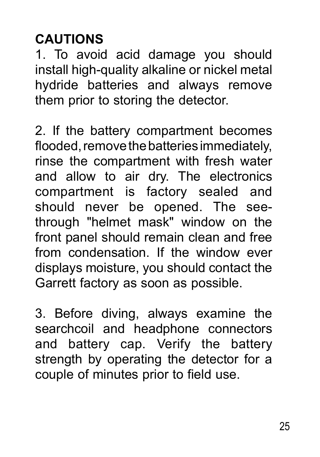# **Cautions**

1. To avoid acid damage you should install high-quality alkaline or nickel metal hydride batteries and always remove them prior to storing the detector.

2. If the battery compartment becomes flooded, remove the batteries immediately, rinse the compartment with fresh water and allow to air dry. The electronics compartment is factory sealed and should never be opened. The seethrough "helmet mask" window on the front panel should remain clean and free from condensation. If the window ever displays moisture, you should contact the Garrett factory as soon as possible.

3. Before diving, always examine the searchcoil and headphone connectors and battery cap. Verify the battery strength by operating the detector for a couple of minutes prior to field use.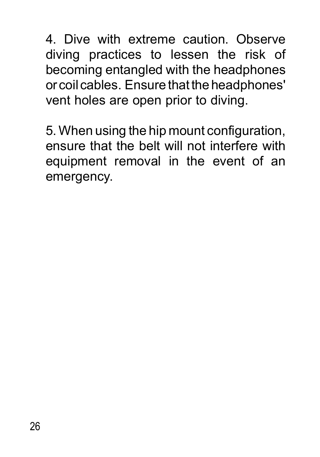4. Dive with extreme caution. Observe diving practices to lessen the risk of becoming entangled with the headphones or coil cables. Ensure that the headphones' vent holes are open prior to diving.

5. When using the hip mount configuration, ensure that the belt will not interfere with equipment removal in the event of an emergency.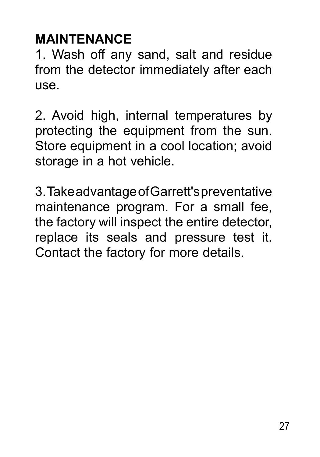#### **Maintenance**

1. Wash off any sand, salt and residue from the detector immediately after each use.

2. Avoid high, internal temperatures by protecting the equipment from the sun. Store equipment in a cool location; avoid storage in a hot vehicle.

3. Take advantage of Garrett's preventative maintenance program. For a small fee, the factory will inspect the entire detector, replace its seals and pressure test it. Contact the factory for more details.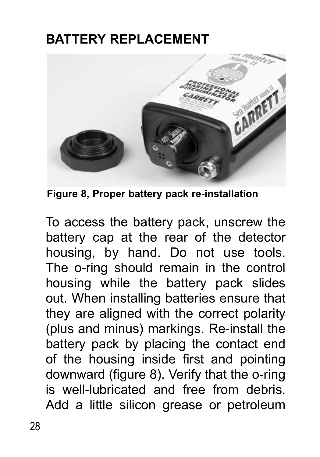#### **Battery replacement**



**Figure 8, Proper battery pack re-installation**

To access the battery pack, unscrew the battery cap at the rear of the detector housing, by hand. Do not use tools. The o-ring should remain in the control housing while the battery pack slides out. When installing batteries ensure that they are aligned with the correct polarity (plus and minus) markings. Re-install the battery pack by placing the contact end of the housing inside first and pointing downward (figure 8). Verify that the o-ring is well-lubricated and free from debris. Add a little silicon grease or petroleum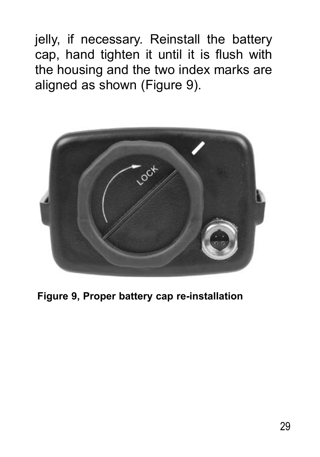jelly, if necessary. Reinstall the battery cap, hand tighten it until it is flush with the housing and the two index marks are aligned as shown (Figure 9).



**Figure 9, Proper battery cap re-installation**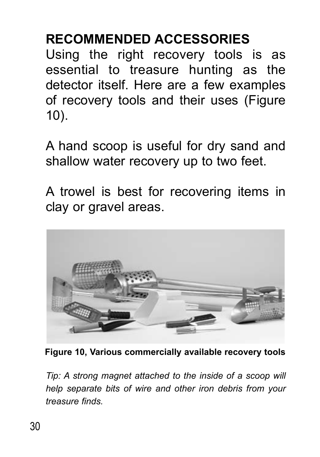#### **Recommended Accessories**

Using the right recovery tools is as essential to treasure hunting as the detector itself. Here are a few examples of recovery tools and their uses (Figure 10).

A hand scoop is useful for dry sand and shallow water recovery up to two feet.

A trowel is best for recovering items in clay or gravel areas.



**Figure 10, Various commercially available recovery tools** 

*Tip: A strong magnet attached to the inside of a scoop will help separate bits of wire and other iron debris from your treasure finds.*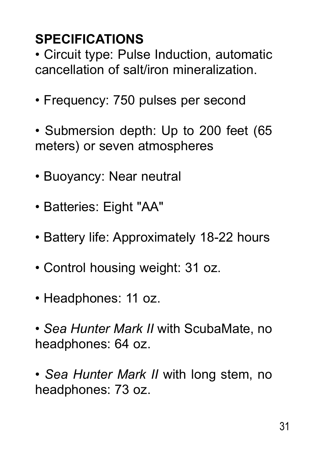# **Specifications**

• Circuit type: Pulse Induction, automatic cancellation of salt/iron mineralization.

- Frequency: 750 pulses per second
- Submersion depth: Up to 200 feet (65 meters) or seven atmospheres
- Buoyancy: Near neutral
- Batteries: Eight "AA"
- Battery life: Approximately 18-22 hours
- Control housing weight: 31 oz.
- Headphones: 11 oz.
- *Sea Hunter Mark II* with ScubaMate, no headphones: 64 oz.
- *Sea Hunter Mark II* with long stem, no headphones: 73 oz.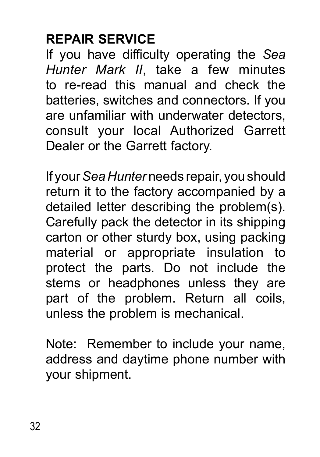# **Repair Service**

If you have difficulty operating the *Sea Hunter Mark II*, take a few minutes to re-read this manual and check the batteries, switches and connectors. If you are unfamiliar with underwater detectors, consult your local Authorized Garrett Dealer or the Garrett factory.

If your *Sea Hunter* needs repair, you should return it to the factory accompanied by a detailed letter describing the problem(s). Carefully pack the detector in its shipping carton or other sturdy box, using packing material or appropriate insulation to protect the parts. Do not include the stems or headphones unless they are part of the problem. Return all coils, unless the problem is mechanical.

Note: Remember to include your name, address and daytime phone number with your shipment.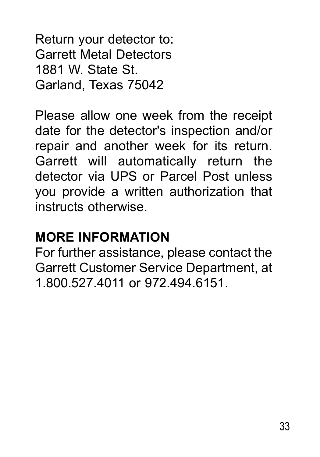Return your detector to: Garrett Metal Detectors 1881 W. State St. Garland, Texas 75042

Please allow one week from the receipt date for the detector's inspection and/or repair and another week for its return. Garrett will automatically return the detector via UPS or Parcel Post unless you provide a written authorization that instructs otherwise.

#### **More Information**

For further assistance, please contact the Garrett Customer Service Department, at 1.800.527.4011 or 972.494.6151.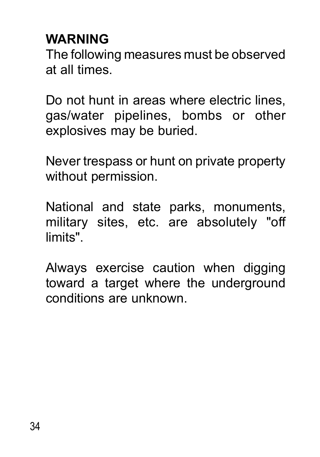#### **Warning**

The following measures must be observed at all times.

Do not hunt in areas where electric lines, gas/water pipelines, bombs or other explosives may be buried.

Never trespass or hunt on private property without permission.

National and state parks, monuments, military sites, etc. are absolutely "off limits".

Always exercise caution when digging toward a target where the underground conditions are unknown.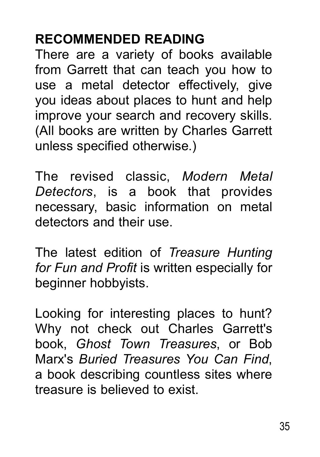#### **Recommended Reading**

There are a variety of books available from Garrett that can teach you how to use a metal detector effectively, give you ideas about places to hunt and help improve your search and recovery skills. (All books are written by Charles Garrett unless specified otherwise.)

The revised classic, *Modern Metal Detectors*, is a book that provides necessary, basic information on metal detectors and their use.

The latest edition of *Treasure Hunting for Fun and Profit* is written especially for beginner hobbyists.

Looking for interesting places to hunt? Why not check out Charles Garrett's book, *Ghost Town Treasures*, or Bob Marx's *Buried Treasures You Can Find*, a book describing countless sites where treasure is believed to exist.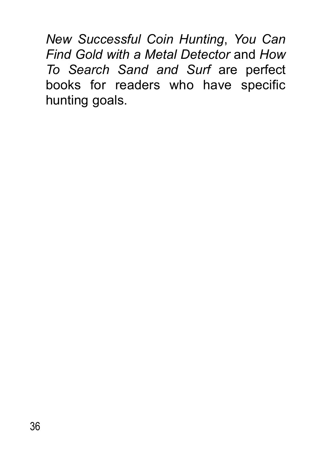*New Successful Coin Hunting*, *You Can Find Gold with a Metal Detector* and *How To Search Sand and Surf* are perfect books for readers who have specific hunting goals.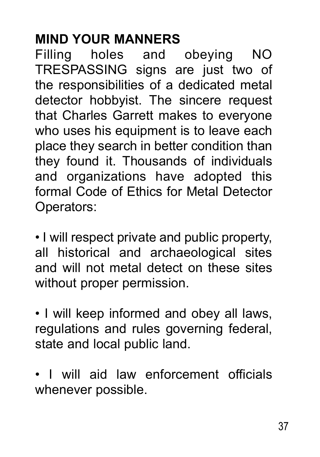#### **Mind Your Manners**

Filling holes and obeying NO TRESPASSING signs are just two of the responsibilities of a dedicated metal detector hobbyist. The sincere request that Charles Garrett makes to everyone who uses his equipment is to leave each place they search in better condition than they found it. Thousands of individuals and organizations have adopted this formal Code of Ethics for Metal Detector Operators:

• I will respect private and public property, all historical and archaeological sites and will not metal detect on these sites without proper permission.

• I will keep informed and obey all laws, regulations and rules governing federal, state and local public land.

• I will aid law enforcement officials whenever possible.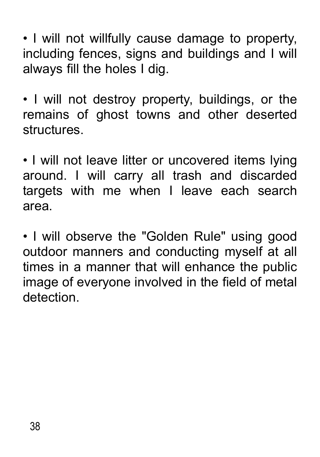• I will not willfully cause damage to property, including fences, signs and buildings and I will always fill the holes I dig.

• I will not destroy property, buildings, or the remains of ghost towns and other deserted structures.

• I will not leave litter or uncovered items lying around. I will carry all trash and discarded targets with me when I leave each search area.

• I will observe the "Golden Rule" using good outdoor manners and conducting myself at all times in a manner that will enhance the public image of everyone involved in the field of metal detection.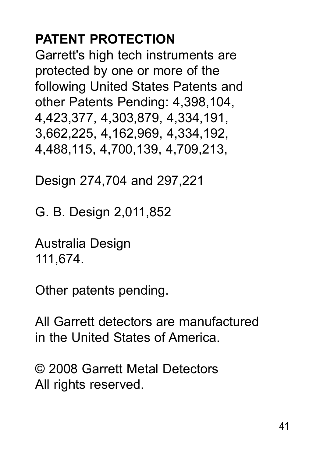#### **Patent protection**

Garrett's high tech instruments are protected by one or more of the following United States Patents and other Patents Pending: 4,398,104, 4,423,377, 4,303,879, 4,334,191, 3,662,225, 4,162,969, 4,334,192, 4,488,115, 4,700,139, 4,709,213,

Design 274,704 and 297,221

G. B. Design 2,011,852

Australia Design 111,674.

Other patents pending.

All Garrett detectors are manufactured in the United States of America.

© 2008 Garrett Metal Detectors All rights reserved.